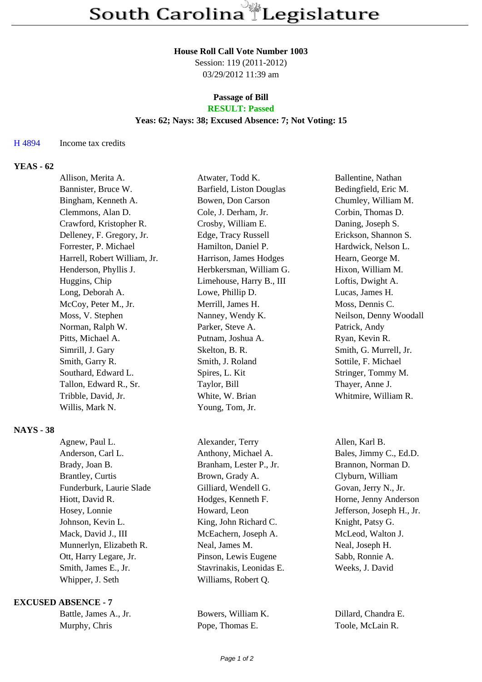### **House Roll Call Vote Number 1003**

Session: 119 (2011-2012) 03/29/2012 11:39 am

# **Passage of Bill**

## **RESULT: Passed**

## **Yeas: 62; Nays: 38; Excused Absence: 7; Not Voting: 15**

### H 4894 Income tax credits

### **YEAS - 62**

|                  | Allison, Merita A.           | Atwater, Todd K.         | Ballentine, Nathan     |
|------------------|------------------------------|--------------------------|------------------------|
|                  | Bannister, Bruce W.          | Barfield, Liston Douglas | Bedingfield, Eric M.   |
|                  | Bingham, Kenneth A.          | Bowen, Don Carson        | Chumley, William M.    |
|                  | Clemmons, Alan D.            | Cole, J. Derham, Jr.     | Corbin, Thomas D.      |
|                  | Crawford, Kristopher R.      | Crosby, William E.       | Daning, Joseph S.      |
|                  | Delleney, F. Gregory, Jr.    | Edge, Tracy Russell      | Erickson, Shannon S.   |
|                  | Forrester, P. Michael        | Hamilton, Daniel P.      | Hardwick, Nelson L.    |
|                  | Harrell, Robert William, Jr. | Harrison, James Hodges   | Hearn, George M.       |
|                  | Henderson, Phyllis J.        | Herbkersman, William G.  | Hixon, William M.      |
|                  | Huggins, Chip                | Limehouse, Harry B., III | Loftis, Dwight A.      |
|                  | Long, Deborah A.             | Lowe, Phillip D.         | Lucas, James H.        |
|                  | McCoy, Peter M., Jr.         | Merrill, James H.        | Moss, Dennis C.        |
|                  | Moss, V. Stephen             | Nanney, Wendy K.         | Neilson, Denny Woodall |
|                  | Norman, Ralph W.             | Parker, Steve A.         | Patrick, Andy          |
|                  | Pitts, Michael A.            | Putnam, Joshua A.        | Ryan, Kevin R.         |
|                  | Simrill, J. Gary             | Skelton, B. R.           | Smith, G. Murrell, Jr. |
|                  | Smith, Garry R.              | Smith, J. Roland         | Sottile, F. Michael    |
|                  | Southard, Edward L.          | Spires, L. Kit           | Stringer, Tommy M.     |
|                  | Tallon, Edward R., Sr.       | Taylor, Bill             | Thayer, Anne J.        |
|                  | Tribble, David, Jr.          | White, W. Brian          | Whitmire, William R.   |
|                  | Willis, Mark N.              | Young, Tom, Jr.          |                        |
| <b>NAYS - 38</b> |                              |                          |                        |
|                  | Agnew, Paul L.               | Alexander, Terry         | Allen, Karl B.         |

Anderson, Carl L. Anthony, Michael A. Bales, Jimmy C., Ed.D. Brady, Joan B. Branham, Lester P., Jr. Brannon, Norman D. Brantley, Curtis Brown, Grady A. Clyburn, William Funderburk, Laurie Slade Gilliard, Wendell G. Govan, Jerry N., Jr. Hiott, David R. **Hotter Hotel** Hodges, Kenneth F. **Horne**, Jenny Anderson Hosey, Lonnie **Howard, Leon** Jefferson, Joseph H., Jr. Johnson, Kevin L. King, John Richard C. Knight, Patsy G. Mack, David J., III McEachern, Joseph A. McLeod, Walton J. Munnerlyn, Elizabeth R. Neal, James M. Neal, Joseph H. Ott, Harry Legare, Jr. Pinson, Lewis Eugene Sabb, Ronnie A. Smith, James E., Jr. Stavrinakis, Leonidas E. Weeks, J. David Whipper, J. Seth Williams, Robert Q.

#### **EXCUSED ABSENCE - 7**

| Battle, James A., Jr. |
|-----------------------|
| Murphy, Chris         |

Pope, Thomas E. Toole, McLain R.

Bowers, William K. Dillard, Chandra E.